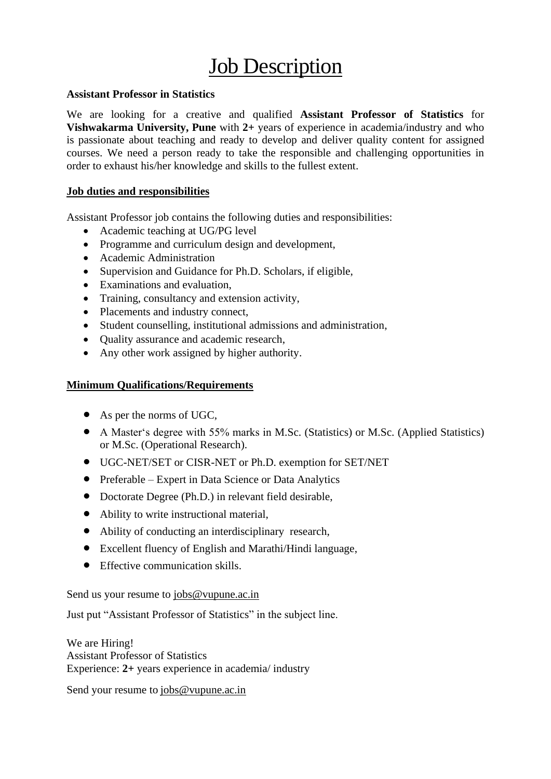## **Job Description**

## **Assistant Professor in Statistics**

We are looking for a creative and qualified **Assistant Professor of Statistics** for **Vishwakarma University, Pune** with **2+** years of experience in academia/industry and who is passionate about teaching and ready to develop and deliver quality content for assigned courses. We need a person ready to take the responsible and challenging opportunities in order to exhaust his/her knowledge and skills to the fullest extent.

## **Job duties and responsibilities**

Assistant Professor job contains the following duties and responsibilities:

- Academic teaching at UG/PG level
- Programme and curriculum design and development,
- Academic Administration
- Supervision and Guidance for Ph.D. Scholars, if eligible,
- Examinations and evaluation,
- Training, consultancy and extension activity,
- Placements and industry connect,
- Student counselling, institutional admissions and administration,
- Ouality assurance and academic research,
- Any other work assigned by higher authority.

## **Minimum Qualifications/Requirements**

- As per the norms of UGC,
- A Master's degree with 55% marks in M.Sc. (Statistics) or M.Sc. (Applied Statistics) or M.Sc. (Operational Research).
- UGC-NET/SET or CISR-NET or Ph.D. exemption for SET/NET
- Preferable Expert in Data Science or Data Analytics
- Doctorate Degree (Ph.D.) in relevant field desirable,
- Ability to write instructional material,
- Ability of conducting an interdisciplinary research,
- Excellent fluency of English and Marathi/Hindi language,
- Effective communication skills.

Send us your resume to [jobs@vupune.ac.in](mailto:jobs@vupune.ac.in)

Just put "Assistant Professor of Statistics" in the subject line.

We are Hiring! Assistant Professor of Statistics Experience: **2+** years experience in academia/ industry

Send your resume to [jobs@vupune.ac.in](mailto:jobs@vupune.ac.in)